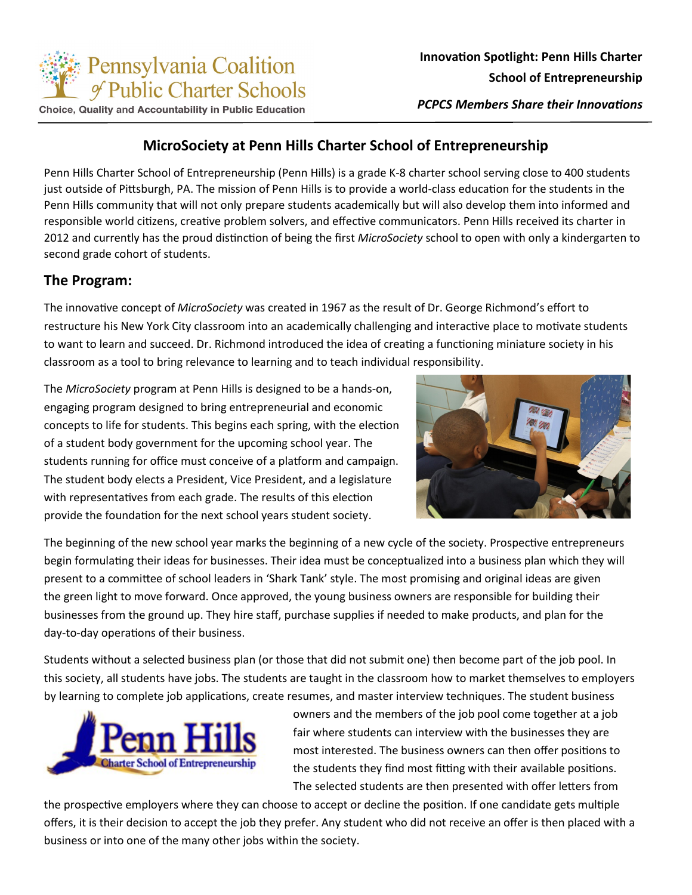

Choice, Quality and Accountability in Public Education

*PCPCS Members Share their Innovations*

#### **MicroSociety at Penn Hills Charter School of Entrepreneurship**

Penn Hills Charter School of Entrepreneurship (Penn Hills) is a grade K-8 charter school serving close to 400 students just outside of Pittsburgh, PA. The mission of Penn Hills is to provide a world-class education for the students in the Penn Hills community that will not only prepare students academically but will also develop them into informed and responsible world citizens, creative problem solvers, and effective communicators. Penn Hills received its charter in 2012 and currently has the proud distinction of being the first *MicroSociety* school to open with only a kindergarten to second grade cohort of students.

#### **The Program:**

The innovative concept of *MicroSociety* was created in 1967 as the result of Dr. George Richmond's effort to restructure his New York City classroom into an academically challenging and interactive place to motivate students to want to learn and succeed. Dr. Richmond introduced the idea of creating a functioning miniature society in his classroom as a tool to bring relevance to learning and to teach individual responsibility.

The *MicroSociety* program at Penn Hills is designed to be a hands-on, engaging program designed to bring entrepreneurial and economic concepts to life for students. This begins each spring, with the election of a student body government for the upcoming school year. The students running for office must conceive of a platform and campaign. The student body elects a President, Vice President, and a legislature with representatives from each grade. The results of this election provide the foundation for the next school years student society.



The beginning of the new school year marks the beginning of a new cycle of the society. Prospective entrepreneurs begin formulating their ideas for businesses. Their idea must be conceptualized into a business plan which they will present to a committee of school leaders in 'Shark Tank' style. The most promising and original ideas are given the green light to move forward. Once approved, the young business owners are responsible for building their businesses from the ground up. They hire staff, purchase supplies if needed to make products, and plan for the day-to-day operations of their business.

Students without a selected business plan (or those that did not submit one) then become part of the job pool. In this society, all students have jobs. The students are taught in the classroom how to market themselves to employers by learning to complete job applications, create resumes, and master interview techniques. The student business



owners and the members of the job pool come together at a job fair where students can interview with the businesses they are most interested. The business owners can then offer positions to the students they find most fitting with their available positions. The selected students are then presented with offer letters from

the prospective employers where they can choose to accept or decline the position. If one candidate gets multiple offers, it is their decision to accept the job they prefer. Any student who did not receive an offer is then placed with a business or into one of the many other jobs within the society.